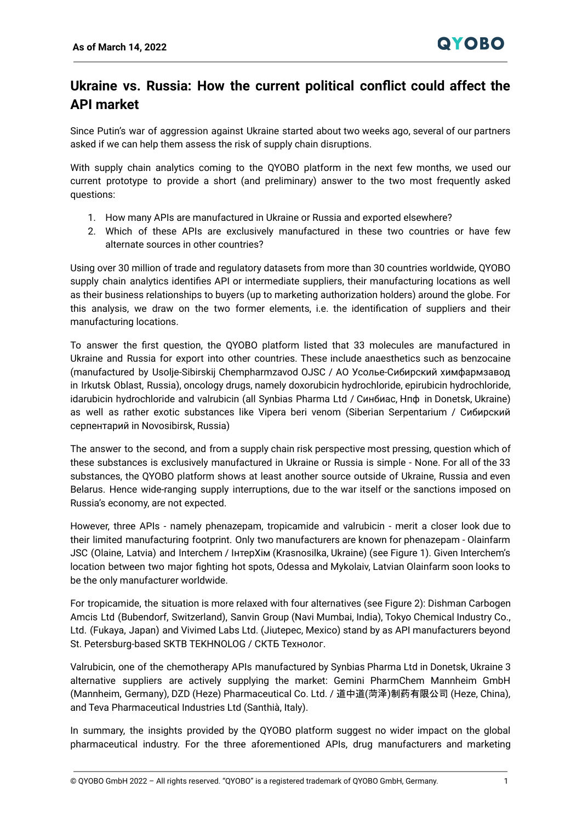## **Ukraine vs. Russia: How the current political conflict could affect the API market**

Since Putin's war of aggression against Ukraine started about two weeks ago, several of our partners asked if we can help them assess the risk of supply chain disruptions.

With supply chain analytics coming to the QYOBO platform in the next few months, we used our current prototype to provide a short (and preliminary) answer to the two most frequently asked questions:

- 1. How many APIs are manufactured in Ukraine or Russia and exported elsewhere?
- 2. Which of these APIs are exclusively manufactured in these two countries or have few alternate sources in other countries?

Using over 30 million of trade and regulatory datasets from more than 30 countries worldwide, QYOBO supply chain analytics identifies API or intermediate suppliers, their manufacturing locations as well as their business relationships to buyers (up to marketing authorization holders) around the globe. For this analysis, we draw on the two former elements, i.e. the identification of suppliers and their manufacturing locations.

To answer the first question, the QYOBO platform listed that 33 molecules are manufactured in Ukraine and Russia for export into other countries. These include anaesthetics such as benzocaine (manufactured by Usolje-Sibirskij Chempharmzavod OJSC / АО Усолье‑Сибирский химфармзавод in Irkutsk Oblast, Russia), oncology drugs, namely doxorubicin hydrochloride, epirubicin hydrochloride, idarubicin hydrochloride and valrubicin (all Synbias Pharma Ltd / Синбиас, Нпф in Donetsk, Ukraine) as well as rather exotic substances like Vipera beri venom (Siberian Serpentarium / Сибирский серпентарий in Novosibirsk, Russia)

The answer to the second, and from a supply chain risk perspective most pressing, question which of these substances is exclusively manufactured in Ukraine or Russia is simple - None. For all of the 33 substances, the QYOBO platform shows at least another source outside of Ukraine, Russia and even Belarus. Hence wide-ranging supply interruptions, due to the war itself or the sanctions imposed on Russia's economy, are not expected.

However, three APIs - namely phenazepam, tropicamide and valrubicin - merit a closer look due to their limited manufacturing footprint. Only two manufacturers are known for phenazepam - Olainfarm JSC (Olaine, Latvia) and Interchem / ІнтерХім (Krasnosilka, Ukraine) (see Figure 1). Given Interchem's location between two major fighting hot spots, Odessa and Mykolaiv, Latvian Olainfarm soon looks to be the only manufacturer worldwide.

For tropicamide, the situation is more relaxed with four alternatives (see Figure 2): Dishman Carbogen Amcis Ltd (Bubendorf, Switzerland), Sanvin Group (Navi Mumbai, India), Tokyo Chemical Industry Co., Ltd. (Fukaya, Japan) and Vivimed Labs Ltd. (Jiutepec, Mexico) stand by as API manufacturers beyond St. Petersburg-based SKTB TEKHNOLOG / СКТБ Технолог.

Valrubicin, one of the chemotherapy APIs manufactured by Synbias Pharma Ltd in Donetsk, Ukraine 3 alternative suppliers are actively supplying the market: Gemini PharmChem Mannheim GmbH (Mannheim, Germany), DZD (Heze) Pharmaceutical Co. Ltd. / 道中道(菏泽)制药有限公司 (Heze, China), and Teva Pharmaceutical Industries Ltd (Santhià, Italy).

In summary, the insights provided by the QYOBO platform suggest no wider impact on the global pharmaceutical industry. For the three aforementioned APIs, drug manufacturers and marketing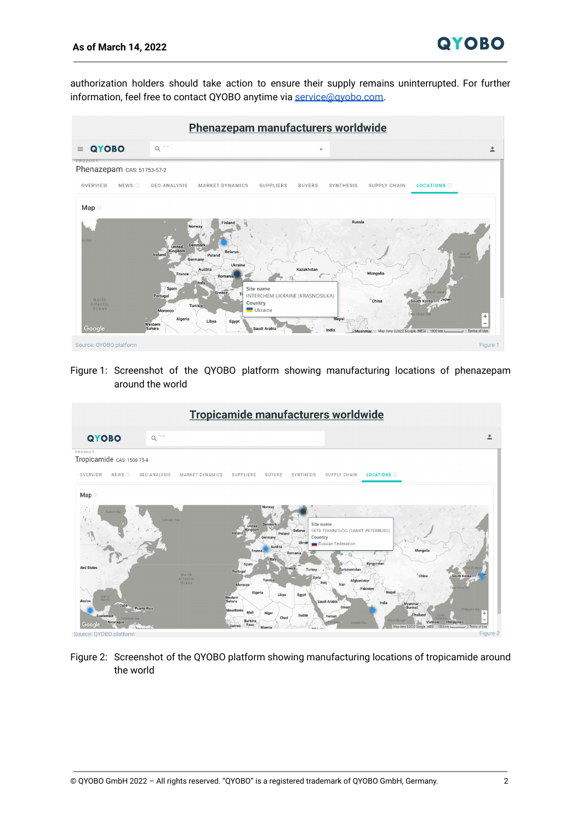authorization holders should take action to ensure their supply remains uninterrupted. For further information, feel free to contact QYOBO anytime via [service@qyobo.com.](mailto:service@qyobo.com)



Figure 1: Screenshot of the QYOBO platform showing manufacturing locations of phenazepam around the world

| Tropicamide manufacturers worldwide                                                                     |                                                                                                                                                                                                                                                                                                                                                                                                                                                                                                                                                                                                                                                 |          |
|---------------------------------------------------------------------------------------------------------|-------------------------------------------------------------------------------------------------------------------------------------------------------------------------------------------------------------------------------------------------------------------------------------------------------------------------------------------------------------------------------------------------------------------------------------------------------------------------------------------------------------------------------------------------------------------------------------------------------------------------------------------------|----------|
| QYOBO                                                                                                   | Such<br>$\alpha$                                                                                                                                                                                                                                                                                                                                                                                                                                                                                                                                                                                                                                | ≗        |
| PRODUCT<br>Tropicamide CAS: 1508-75-4                                                                   |                                                                                                                                                                                                                                                                                                                                                                                                                                                                                                                                                                                                                                                 |          |
| OVERVIEW<br>NEWS <sup>O</sup>                                                                           | GEO ANALYSIS<br>MARKET DYNAMICS<br>SUPPLIERS<br><b>BUYERS</b><br>SYNTHESIS<br>SUPPLY CHAIN<br><b>LOCATIONS</b>                                                                                                                                                                                                                                                                                                                                                                                                                                                                                                                                  |          |
| Map ©                                                                                                   |                                                                                                                                                                                                                                                                                                                                                                                                                                                                                                                                                                                                                                                 |          |
| $\mathcal{L}_{\ell}$<br><b>Hudson Bay</b>                                                               | Labrador Sea<br>Site name<br>Denmark<br>United<br>Kingdom<br>SKTB TEKHNOLOG (SANKT-PETERBURG)<br><b>Belarus</b><br>Ireland<br>Poland<br>Country<br>Germany<br>Ukrain<br>Russian Federation<br>Austria<br>Mongolia<br>France<br>Romania.<br>Italy<br>Kyrgyzstan<br>Spain                                                                                                                                                                                                                                                                                                                                                                         |          |
| ited States<br>Gulf of<br>Meying<br>Mexico<br>Cuba<br>Guatemala<br>Caribbean Sea<br>Nicaragua<br>Google | Greece<br>Turkey<br>Turkmenistan<br>Portugal<br>North<br>"China<br>South Korea<br>Syria<br>Atlantic<br>Tunisia<br>Afghanistan<br>Iraq<br>Ocean<br>Iran<br>Morocco<br>Ast China Sea<br>Pakistan<br>Algeria<br>Nepa<br>Libya<br>Egypt<br>Western<br>Sahara<br>Saudi Arabia<br>India<br>Myanmar<br>(Burma)<br>Oman<br><b>Puerto Rico</b><br>Philippine Sea<br>Mauritania<br>Mali<br>Niger<br>Thailand<br>Sudan<br><b>South</b><br>Yemen<br>Chad<br><b>Bay of Bengal</b><br>Burkina.<br><b>Philippines</b><br>Vietnam<br>Arabian Sea<br>Faso<br>Guinea<br>Terms of Use<br>Map data @2022 Google, INEGI 1000 km<br>Nigeri<br><i><u>Monseyota</u></i> | a.       |
| Source: QYOBO platform                                                                                  |                                                                                                                                                                                                                                                                                                                                                                                                                                                                                                                                                                                                                                                 | Figure 2 |

Figure 2: Screenshot of the QYOBO platform showing manufacturing locations of tropicamide around the world